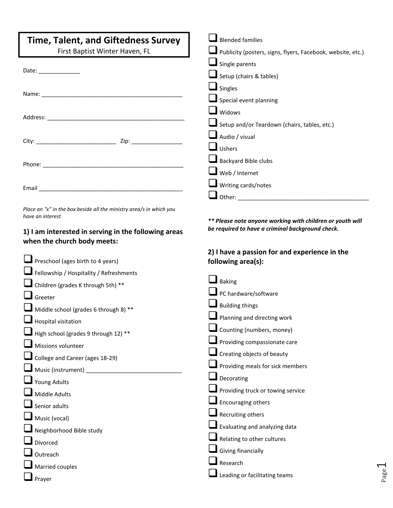| <b>Time, Talent, and Giftedness Survey</b>                                                                                                                                                                                     | $\blacksquare$ Blended families                                                                               |
|--------------------------------------------------------------------------------------------------------------------------------------------------------------------------------------------------------------------------------|---------------------------------------------------------------------------------------------------------------|
| First Baptist Winter Haven, FL                                                                                                                                                                                                 | Publicity (posters, signs, flyers, Facebook, website, etc.)                                                   |
|                                                                                                                                                                                                                                | $\blacksquare$ Single parents                                                                                 |
| Date: the contract of the contract of the contract of the contract of the contract of the contract of the contract of the contract of the contract of the contract of the contract of the contract of the contract of the cont | Setup (chairs & tables)                                                                                       |
|                                                                                                                                                                                                                                | $\blacksquare$ Singles                                                                                        |
|                                                                                                                                                                                                                                | $\blacksquare$ Special event planning                                                                         |
|                                                                                                                                                                                                                                | $\blacksquare$ Widows                                                                                         |
|                                                                                                                                                                                                                                | Setup and/or Teardown (chairs, tables, etc.)                                                                  |
|                                                                                                                                                                                                                                | $\blacksquare$ Audio / visual                                                                                 |
|                                                                                                                                                                                                                                | $\blacksquare$ Ushers                                                                                         |
|                                                                                                                                                                                                                                | Backyard Bible clubs                                                                                          |
|                                                                                                                                                                                                                                | $\blacksquare$ Web / Internet                                                                                 |
| Email and the contract of the contract of the contract of the contract of the contract of the contract of the                                                                                                                  | $\blacksquare$ Writing cards/notes                                                                            |
|                                                                                                                                                                                                                                |                                                                                                               |
| Place an "x" in the box beside all the ministry area/s in which you<br>have an interest<br>1) I am interested in serving in the following areas<br>when the church body meets:                                                 | ** Please note anyone working with children or youth will<br>be required to have a criminal background check. |
|                                                                                                                                                                                                                                | 2) I have a passion for and experience in the                                                                 |
| <b>I</b> Preschool (ages birth to 4 years)                                                                                                                                                                                     | following area(s):                                                                                            |
| $\blacksquare$ Fellowship / Hospitality / Refreshments                                                                                                                                                                         |                                                                                                               |
| Children (grades K through 5th) **                                                                                                                                                                                             | $\blacksquare$ Baking                                                                                         |
| $\blacksquare$ Greeter                                                                                                                                                                                                         | $\blacksquare$ PC hardware/software                                                                           |
| $\blacksquare$ Middle school (grades 6 through 8) **                                                                                                                                                                           | $\blacksquare$ Building things                                                                                |
| $\Box$ Hospital visitation                                                                                                                                                                                                     | Planning and directing work                                                                                   |
| $\blacksquare$ High school (grades 9 through 12) **                                                                                                                                                                            | Counting (numbers, money)                                                                                     |
| Missions volunteer                                                                                                                                                                                                             | Providing compassionate care                                                                                  |
| $\blacksquare$ College and Career (ages 18-29)                                                                                                                                                                                 | Creating objects of beauty                                                                                    |
| Music (instrument) ______________________                                                                                                                                                                                      | Providing meals for sick members                                                                              |
| <b>Young Adults</b>                                                                                                                                                                                                            | Decorating                                                                                                    |
| Middle Adults                                                                                                                                                                                                                  | Providing truck or towing service                                                                             |
| Senior adults                                                                                                                                                                                                                  | Encouraging others                                                                                            |
| Music (vocal)                                                                                                                                                                                                                  | Recruiting others                                                                                             |
| Neighborhood Bible study                                                                                                                                                                                                       | Evaluating and analyzing data                                                                                 |
| Divorced                                                                                                                                                                                                                       | Relating to other cultures                                                                                    |
| Outreach                                                                                                                                                                                                                       | Giving financially                                                                                            |
| Married couples                                                                                                                                                                                                                | Research                                                                                                      |

 $\Box$  Prayer

■Leading or facilitating teams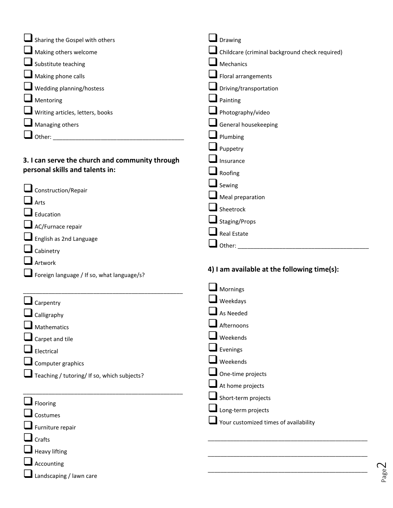| $\blacksquare$ Sharing the Gospel with others   | Drawing                                        |
|-------------------------------------------------|------------------------------------------------|
| $\blacksquare$ Making others welcome            | Childcare (criminal background check required) |
| Substitute teaching                             | Mechanics                                      |
| Making phone calls                              | Floral arrangements                            |
| $\blacksquare$ Wedding planning/hostess         | Driving/transportation                         |
| Mentoring                                       | Painting                                       |
| $\blacksquare$ Writing articles, letters, books | Photography/video                              |
| Managing others                                 | General housekeeping                           |
|                                                 | Plumbing                                       |
|                                                 | Puppetry                                       |
| 3. I can serve the church and community through | Insurance                                      |
| personal skills and talents in:                 | Roofing                                        |
|                                                 | $\Box$ Sewing                                  |
| Construction/Repair                             | Meal preparation                               |
| $\mathbf{I}$ Arts                               | Sheetrock                                      |
| Education                                       | Staging/Props                                  |
| $\blacksquare$ AC/Furnace repair                | <b>Real Estate</b>                             |
| English as 2nd Language                         | Other:                                         |
| Cabinetry                                       |                                                |
| Artwork                                         | 4) I am available at the following time(s):    |
| Foreign language / If so, what language/s?      |                                                |
|                                                 | $\blacksquare$ Mornings                        |
| Carpentry                                       | Weekdays                                       |
| Calligraphy                                     | As Needed                                      |
| Mathematics                                     | Afternoons                                     |
| $\blacksquare$ Carpet and tile                  | Weekends                                       |
| Electrical                                      | Evenings                                       |
| Computer graphics                               | Weekends                                       |
| Teaching / tutoring/ If so, which subjects?     | One-time projects                              |
|                                                 | At home projects                               |
| $\blacksquare$ Flooring                         | Short-term projects                            |
| Costumes                                        | Long-term projects                             |
| Furniture repair                                | Your customized times of availability          |
| $\mathsf{\mathsf{I}}$ Crafts                    |                                                |
| $\blacksquare$ Heavy lifting                    |                                                |

❑Accounting

□Landscaping / lawn care

Page  $\mathrel{\sim}$ 

\_\_\_\_\_\_\_\_\_\_\_\_\_\_\_\_\_\_\_\_\_\_\_\_\_\_\_\_\_\_\_\_\_\_\_\_\_\_\_\_\_\_\_\_\_\_\_\_\_\_

\_\_\_\_\_\_\_\_\_\_\_\_\_\_\_\_\_\_\_\_\_\_\_\_\_\_\_\_\_\_\_\_\_\_\_\_\_\_\_\_\_\_\_\_\_\_\_\_\_\_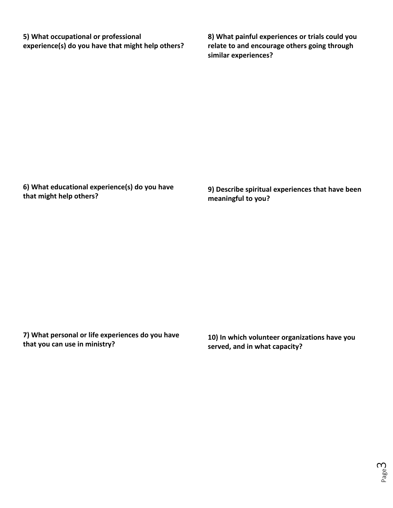**5) What occupational or professional experience(s) do you have that might help others?** **8) What painful experiences or trials could you relate to and encourage others going through similar experiences?** 

**6) What educational experience(s) do you have that might help others?** 

**9) Describe spiritual experiences that have been meaningful to you?** 

**7) What personal or life experiences do you have that you can use in ministry?** 

**10) In which volunteer organizations have you served, and in what capacity?**